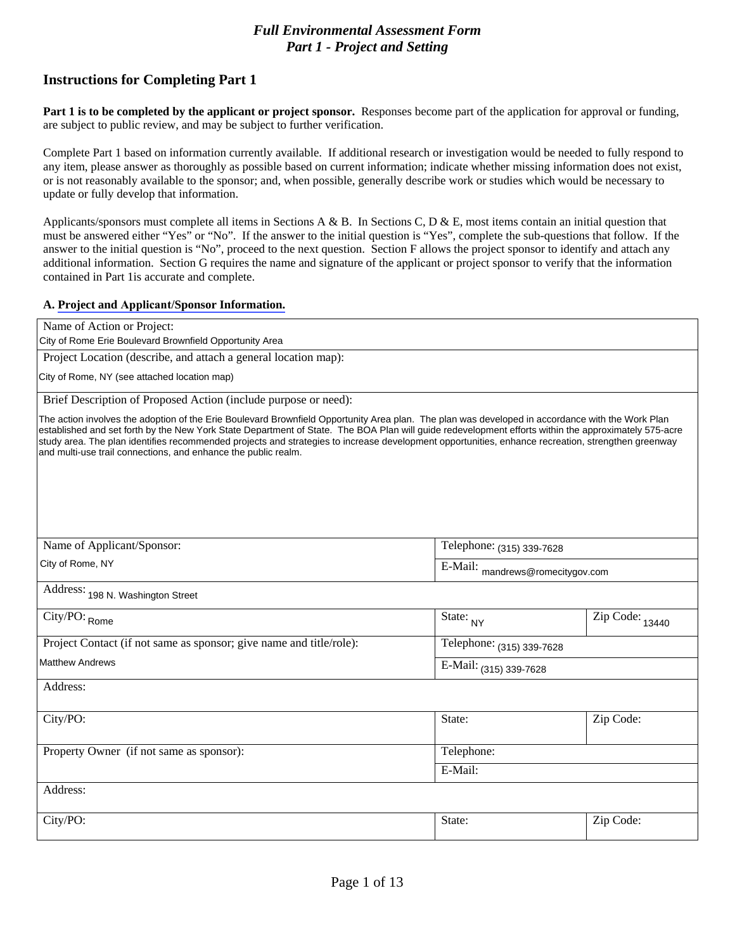City of Rome Erie Boulevard Brownfield Opportunity Area

City of Rome, NY (see attached location map)

The action involves the adoption of the Erie Boulevard Brownfield Opportunity Area plan. The plan was developed in accordance with the Work Plan established and set forth by the New York State Department of State. The BOA study area. The plan identifies recommended projects and strategies to increase development opportunities, enhance recreation, strengthen greenway and multi-use trail connections, and enhance the public realm.

City of Rome, NY

198 N. Washington Street

Rome

**Matthew Andrews** 

## (315) 339-7628

mandrews@romecitygov.com

**NY** 

13440

 $(315)$  339-7628

 $(315)$  339-7628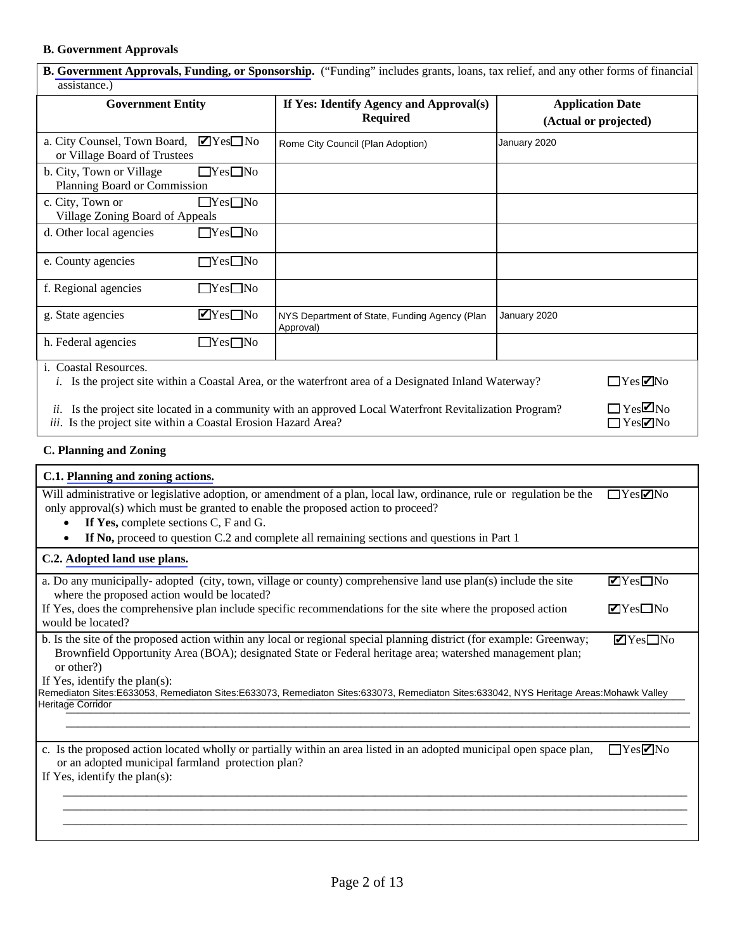

| $\Box$<br>$\Box$      | N<br>M |
|-----------------------|--------|
| $\Box$                | Z      |
| $\blacktriangleright$ | □      |
| $\blacktriangleright$ | 口      |
| M                     |        |
|                       |        |

Remediaton Sites:E633053, Remediaton Sites:E633073, Remediaton Sites:633073, Remediaton Sites:633042, NYS Heritage Areas:Mohawk Valley Heritage Corridor

> $\Box$  $\blacktriangledown$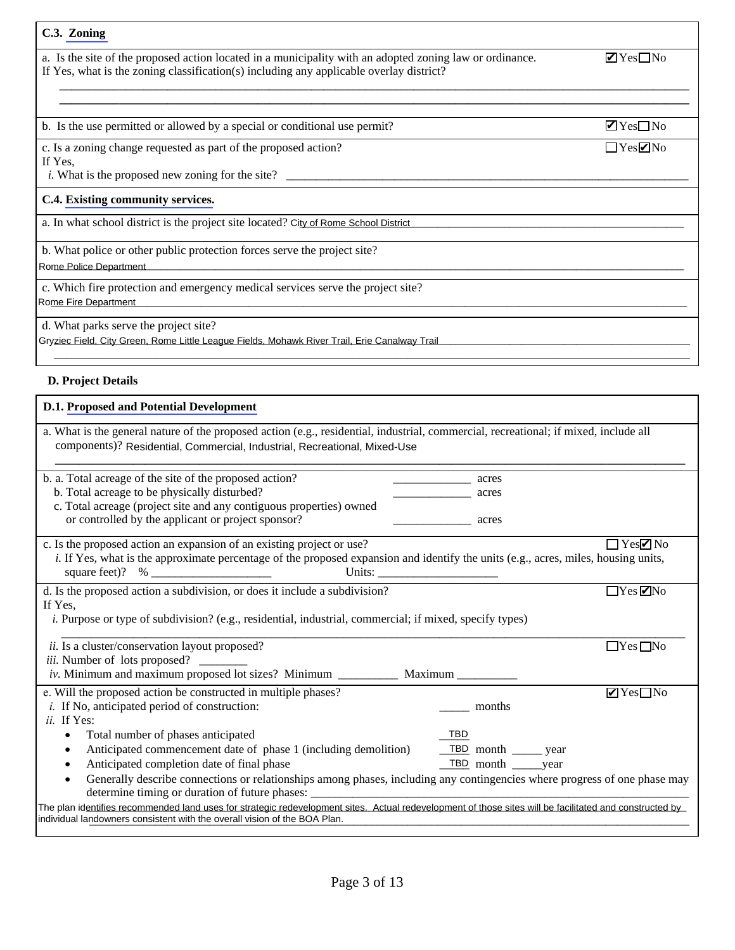Z  $\Box$  $\Box$ Z

Z

 $\Box$ 

City of Rome School District

Rome Police Department

Rome Fire Department

Gryziec Field, City Green, Rome Little League Fields, Mohawk River Trail, Erie Canalway Trail

Residential, Commercial, Industrial, Recreational, Mixed-Use



The plan identifies recommended land uses for strategic redevelopment sites. Actual redevelopment of those sites will be facilitated and constructed by individual landowners consistent with the overall vision of the BOA Pl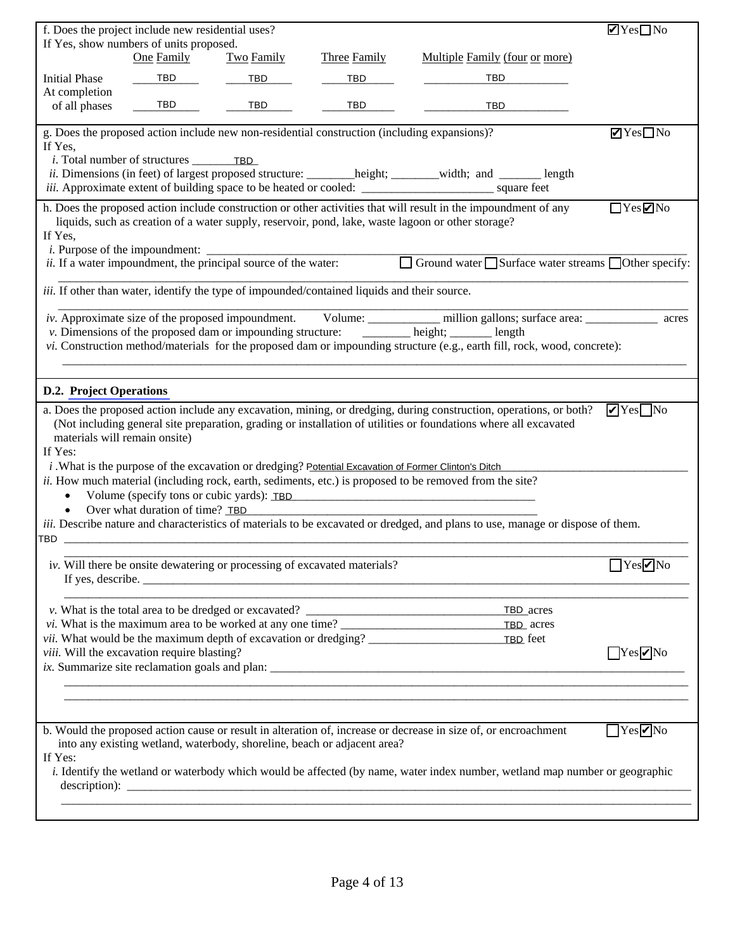

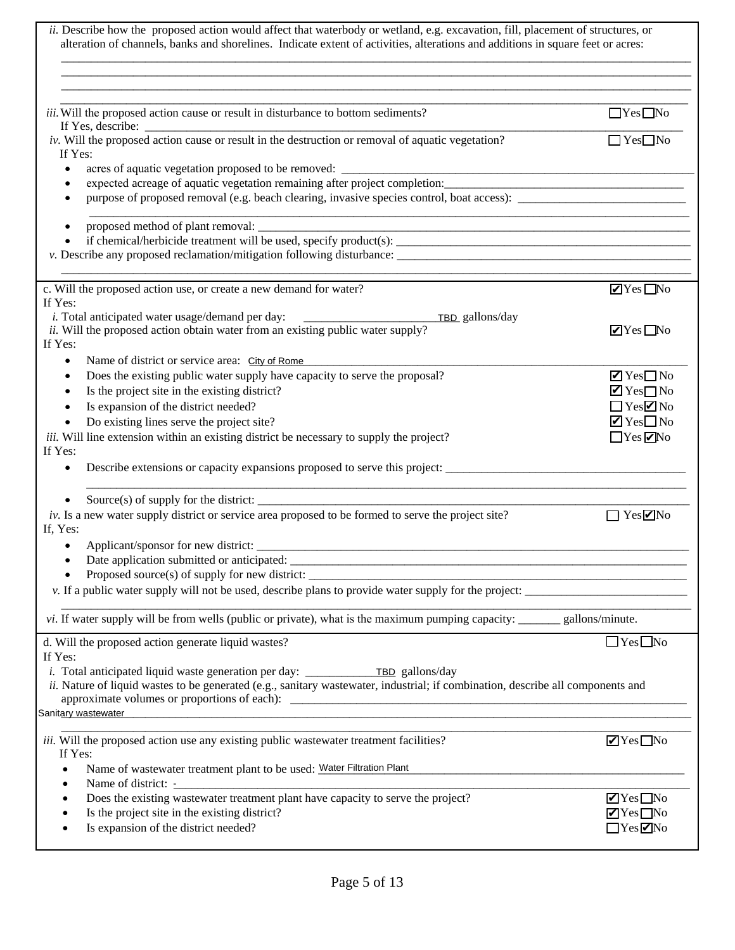

Sanitary wastewater

 $\mathbb{Z}^2$ 

Water Filtration Plant

 $\blacksquare$ 

OOD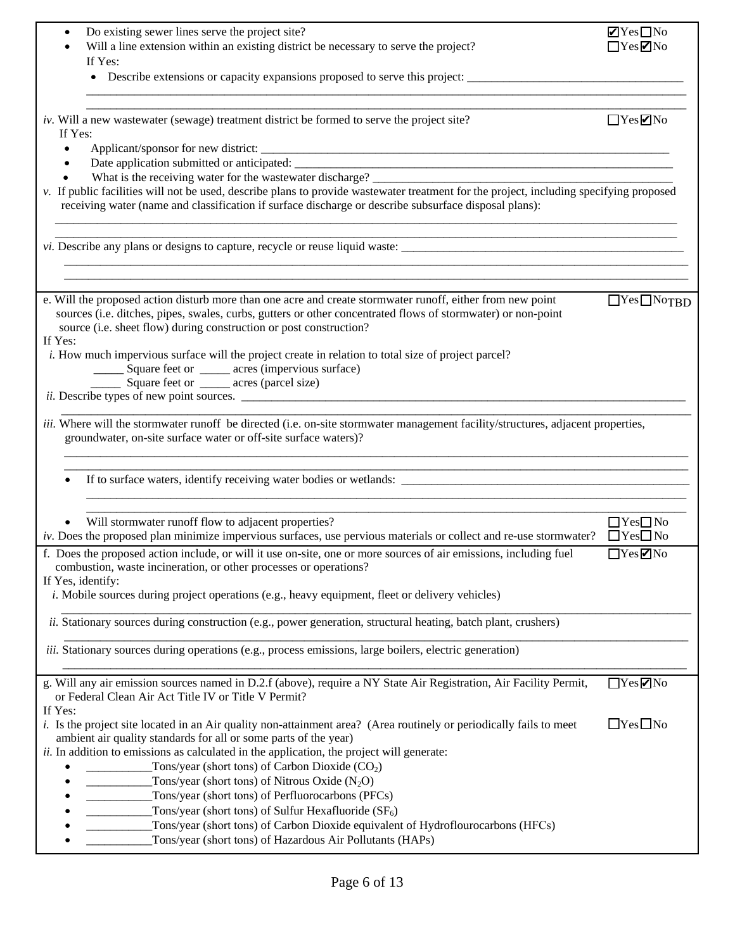$\begin{array}{c} \square \ \blacksquare \ \square \end{array}$  $\Box$   $\blacksquare$  $\begin{array}{ccc} \square & \square \end{array}$  $\begin{array}{c} \square \\ \square \\ \square \end{array}$  $\Box$  $\blacksquare$  $\begin{array}{ccc} \square & \square \end{array}$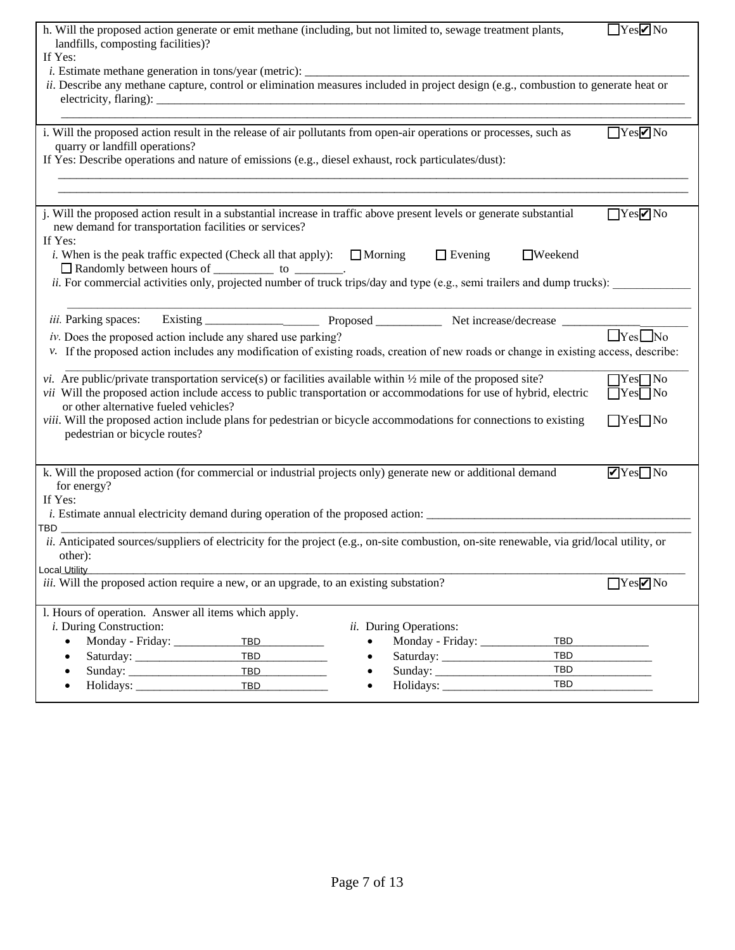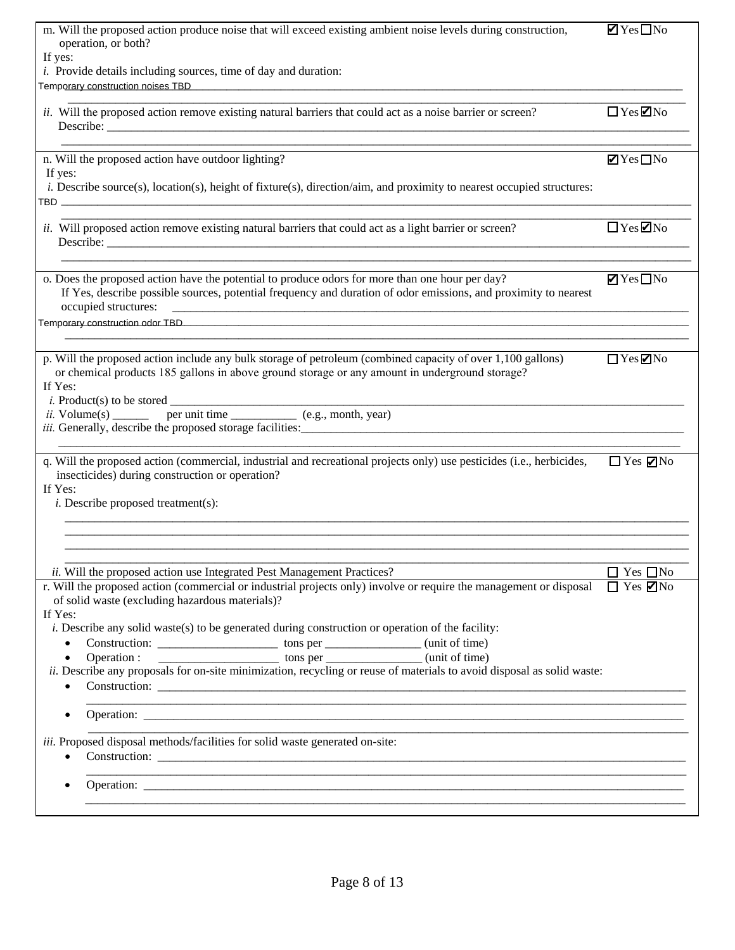|                                   | Z              | $\Box$                |
|-----------------------------------|----------------|-----------------------|
| Temporary construction noises TBD |                |                       |
|                                   | $\Box$         | Z                     |
|                                   | $\blacksquare$ | $\Box$                |
| TBD                               |                |                       |
|                                   | $\Box$         | Z                     |
|                                   | $\blacksquare$ | □                     |
| Temporary construction odor TBD   |                |                       |
|                                   | $\Box$         | $\blacktriangleright$ |
|                                   |                |                       |

 $\Box$  $\blacksquare$ 

 $\begin{matrix} \square \qquad \square \\ \square \qquad \square \end{matrix}$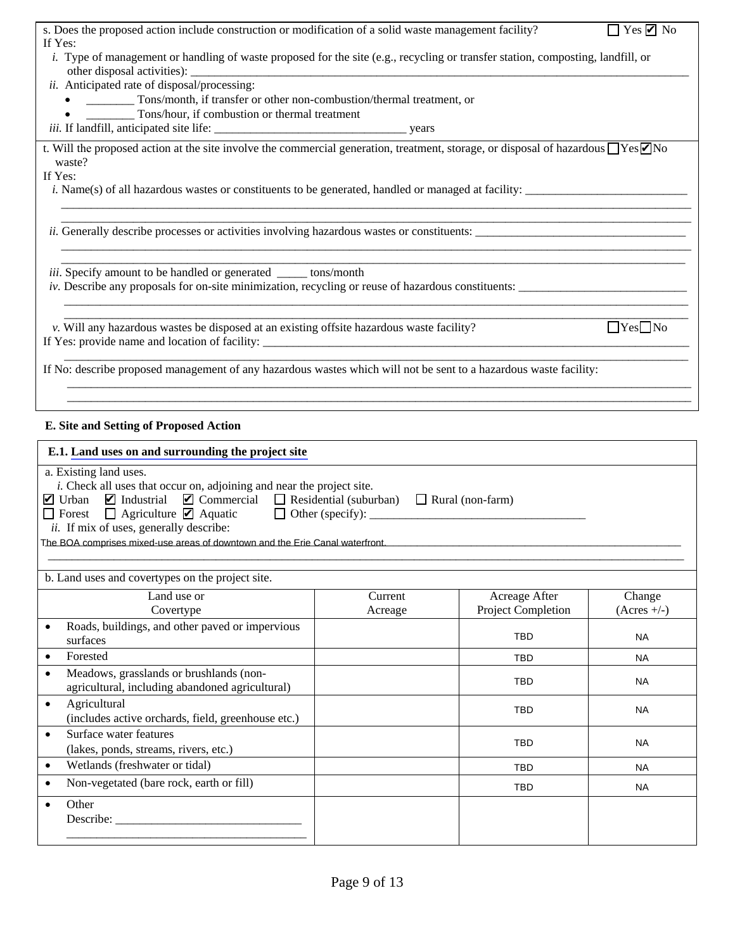$\Box$  $\blacksquare$ 

 $\Box$  $\blacksquare$ 

 $\square$   $\square$ 



The BOA comprises mixed-use areas of downtown and the Erie Canal waterfront.

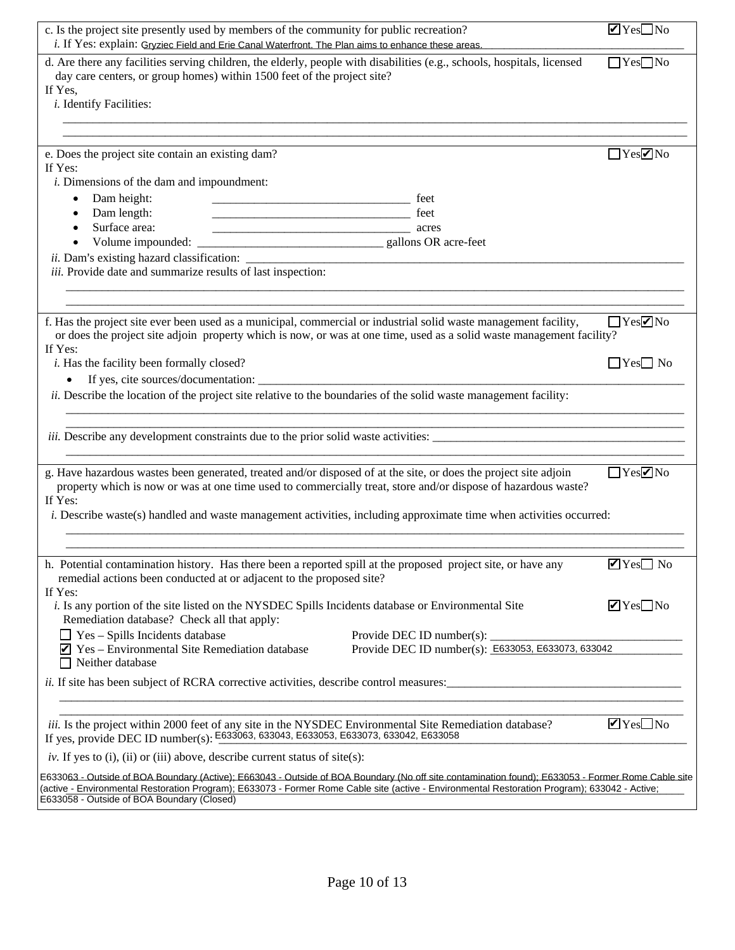| Gryziec Field and Erie Canal Waterfront. The Plan aims to enhance these areas. | $\blacktriangledown$     |                      |
|--------------------------------------------------------------------------------|--------------------------|----------------------|
|                                                                                | $\Box$                   |                      |
|                                                                                |                          |                      |
|                                                                                |                          |                      |
|                                                                                | П                        | M                    |
|                                                                                |                          |                      |
|                                                                                |                          |                      |
|                                                                                |                          |                      |
|                                                                                |                          |                      |
|                                                                                | $\Box$                   | $\blacktriangledown$ |
|                                                                                |                          |                      |
|                                                                                |                          |                      |
|                                                                                |                          |                      |
|                                                                                | $\mathsf{L}$             |                      |
|                                                                                |                          | M                    |
|                                                                                |                          |                      |
|                                                                                | $\blacktriangledown$     |                      |
|                                                                                |                          |                      |
|                                                                                | $\triangledown$          |                      |
|                                                                                | E633053, E633073, 633042 |                      |
|                                                                                |                          |                      |
|                                                                                | $\blacktriangledown$     |                      |

E633063, 633043, E633053, E633073, 633042, E633058

 $\Box \, \text{N} \, \Box$ 

E633063 - Outside of BOA Boundary (Active); E663043 - Outside of BOA Boundary (No off site contamination found); E633053 - Former Rome Cable site (active - Environmental Restoration Program); 633042 - Active; E633058 - Outside of BOA Boundary (Closed)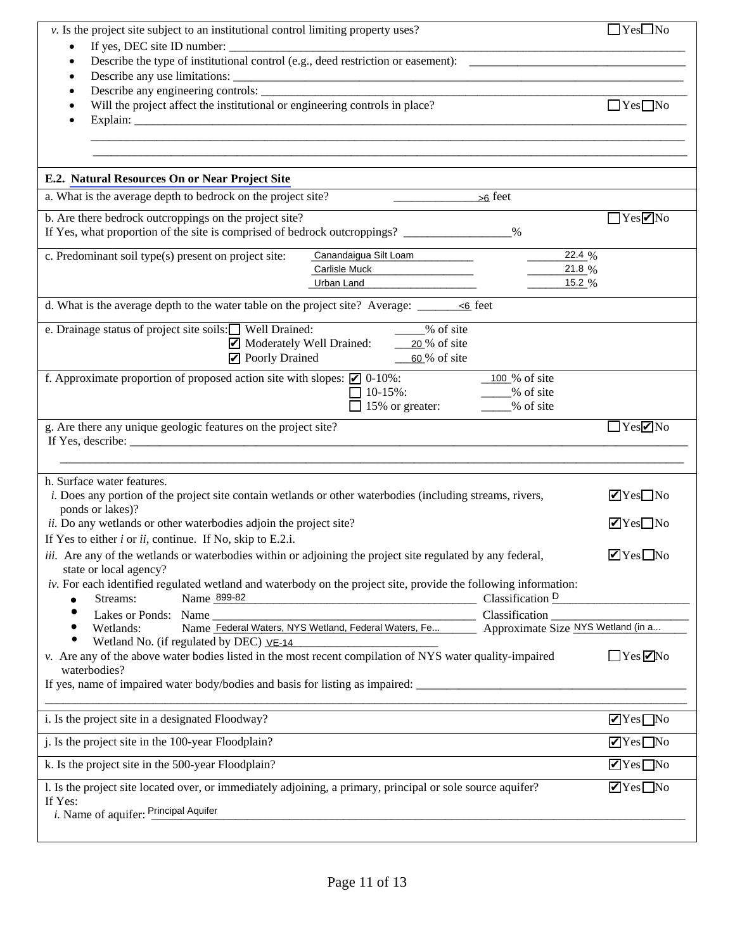

**Principal Aquifer** 

 $\Box$  $\Box$ 

 $\Box$ 

 $\Box$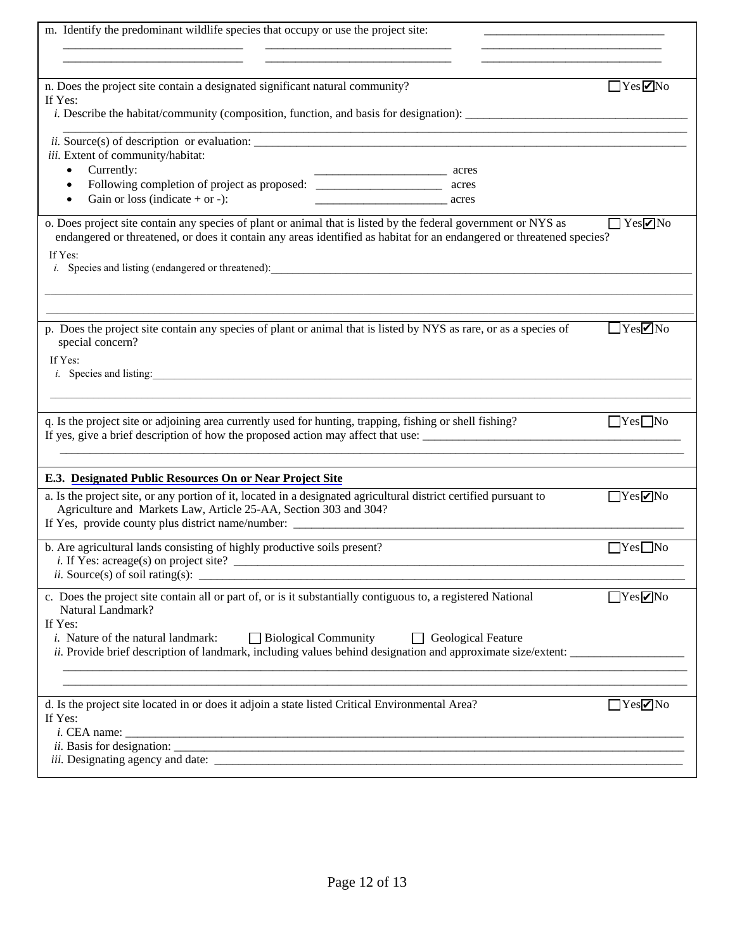$\Box$  $\blacksquare$ 

|        |        | $\Box$ | $\blacksquare$        |
|--------|--------|--------|-----------------------|
|        |        | $\Box$ | $\blacktriangleright$ |
|        |        | $\Box$ | П                     |
|        |        | $\Box$ | $\blacktriangledown$  |
|        |        | $\Box$ | $\Box$                |
|        |        | $\Box$ | $\blacktriangleright$ |
| $\Box$ | $\Box$ |        |                       |
|        |        | ┓      | $\blacktriangledown$  |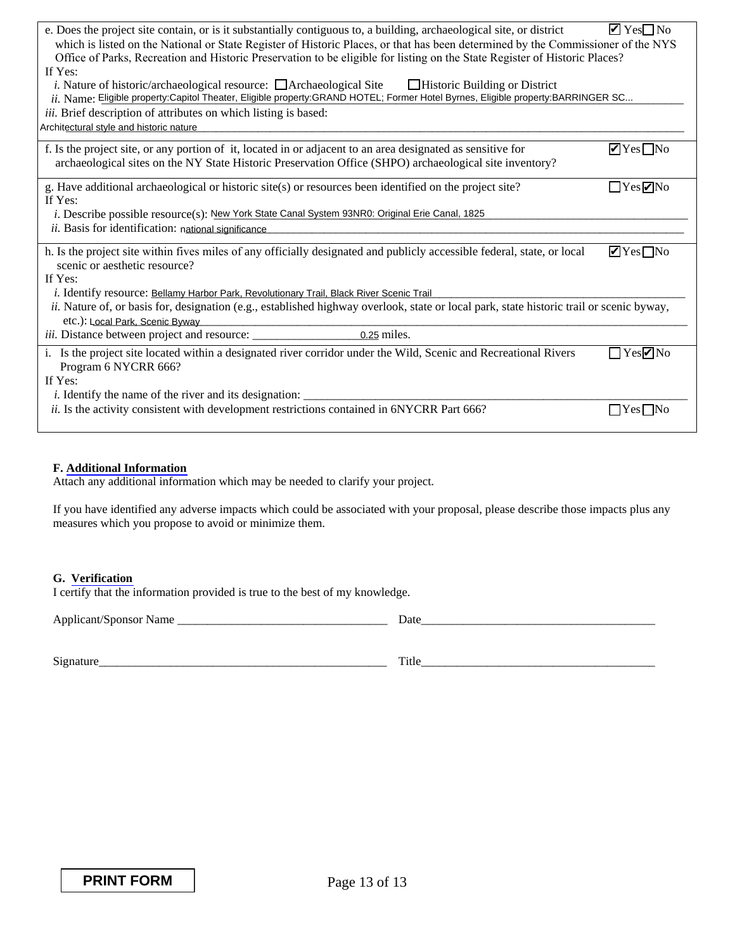| Eligible property:Capitol Theater, Eligible property:GRAND HOTEL; Former Hotel Byrnes, Eligible property:BARRINGER SC |   |   |
|-----------------------------------------------------------------------------------------------------------------------|---|---|
| Architectural style and historic nature                                                                               |   |   |
|                                                                                                                       | M |   |
|                                                                                                                       |   |   |
|                                                                                                                       |   | ☑ |
| New York State Canal System 93NR0: Original Erie Canal, 1825                                                          |   |   |
| national significance                                                                                                 |   |   |
|                                                                                                                       |   |   |
| Bellamy Harbor Park, Revolutionary Trail, Black River Scenic Trail                                                    |   |   |
| Local Park, Scenic Byway                                                                                              |   |   |
| 0.25                                                                                                                  |   |   |
|                                                                                                                       |   | И |
|                                                                                                                       |   |   |
|                                                                                                                       |   |   |

 $\blacksquare$ 

 $\Box$